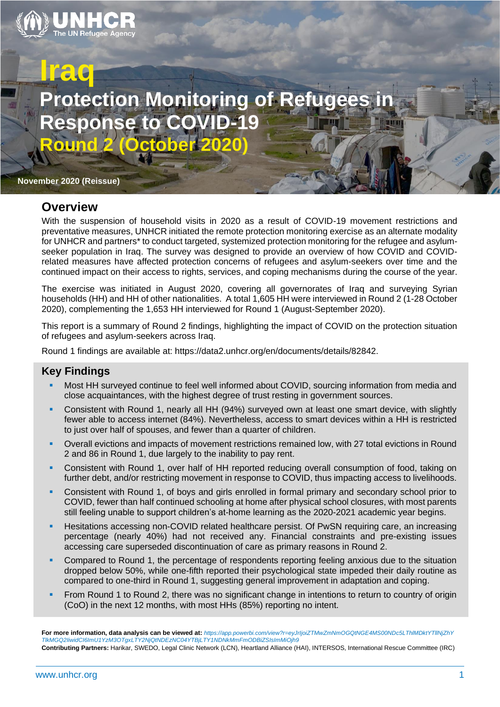

# **Iraq Protection Monitoring of Refuge esponse to Round 2 (October 2020)**

**November 2020 (Reissue)**

### **Overview**

With the suspension of household visits in 2020 as a result of COVID-19 movement restrictions and preventative measures, UNHCR initiated the remote protection monitoring exercise as an alternate modality for UNHCR and partners\* to conduct targeted, systemized protection monitoring for the refugee and asylumseeker population in Iraq. The survey was designed to provide an overview of how COVID and COVIDrelated measures have affected protection concerns of refugees and asylum-seekers over time and the continued impact on their access to rights, services, and coping mechanisms during the course of the year.

The exercise was initiated in August 2020, covering all governorates of Iraq and surveying Syrian households (HH) and HH of other nationalities. A total 1,605 HH were interviewed in Round 2 (1-28 October 2020), complementing the 1,653 HH interviewed for Round 1 (August-September 2020).

This report is a summary of Round 2 findings, highlighting the impact of COVID on the protection situation of refugees and asylum-seekers across Iraq.

Round 1 findings are available at: https://data2.unhcr.org/en/documents/details/82842.

### **Key Findings**

- Most HH surveyed continue to feel well informed about COVID, sourcing information from media and close acquaintances, with the highest degree of trust resting in government sources.
- Consistent with Round 1, nearly all HH (94%) surveyed own at least one smart device, with slightly fewer able to access internet (84%). Nevertheless, access to smart devices within a HH is restricted to just over half of spouses, and fewer than a quarter of children.
- Overall evictions and impacts of movement restrictions remained low, with 27 total evictions in Round 2 and 86 in Round 1, due largely to the inability to pay rent.
- **EXECONS** Consistent with Round 1, over half of HH reported reducing overall consumption of food, taking on further debt, and/or restricting movement in response to COVID, thus impacting access to livelihoods.
- Consistent with Round 1, of boys and girls enrolled in formal primary and secondary school prior to COVID, fewer than half continued schooling at home after physical school closures, with most parents still feeling unable to support children's at-home learning as the 2020-2021 academic year begins.
- Hesitations accessing non-COVID related healthcare persist. Of PwSN requiring care, an increasing percentage (nearly 40%) had not received any. Financial constraints and pre-existing issues accessing care superseded discontinuation of care as primary reasons in Round 2.
- Compared to Round 1, the percentage of respondents reporting feeling anxious due to the situation dropped below 50%, while one-fifth reported their psychological state impeded their daily routine as compared to one-third in Round 1, suggesting general improvement in adaptation and coping.
- From Round 1 to Round 2, there was no significant change in intentions to return to country of origin (CoO) in the next 12 months, with most HHs (85%) reporting no intent.

**For more information, data analysis can be viewed at:** *[https://app.powerbi.com/view?r=eyJrIjoiZTMwZmNmOGQtNGE4MS00NDc5LThlMDktYTllNjZhY](https://app.powerbi.com/view?r=eyJrIjoiZTMwZmNmOGQtNGE4MS00NDc5LThlMDktYTllNjZhY%20TlkMGQ2IiwidCI6ImU1YzM3OTgxLTY2NjQtNDEzNC04YTBjLTY1NDNkMmFmODBiZSIsImMiOjh9)  [TlkMGQ2IiwidCI6ImU1YzM3OTgxLTY2NjQtNDEzNC04YTBjLTY1NDNkMmFmODBiZSIsImMiOjh9](https://app.powerbi.com/view?r=eyJrIjoiZTMwZmNmOGQtNGE4MS00NDc5LThlMDktYTllNjZhY%20TlkMGQ2IiwidCI6ImU1YzM3OTgxLTY2NjQtNDEzNC04YTBjLTY1NDNkMmFmODBiZSIsImMiOjh9)* **Contributing Partners:** Harikar, SWEDO, Legal Clinic Network (LCN), Heartland Alliance (HAI), INTERSOS, International Rescue Committee (IRC)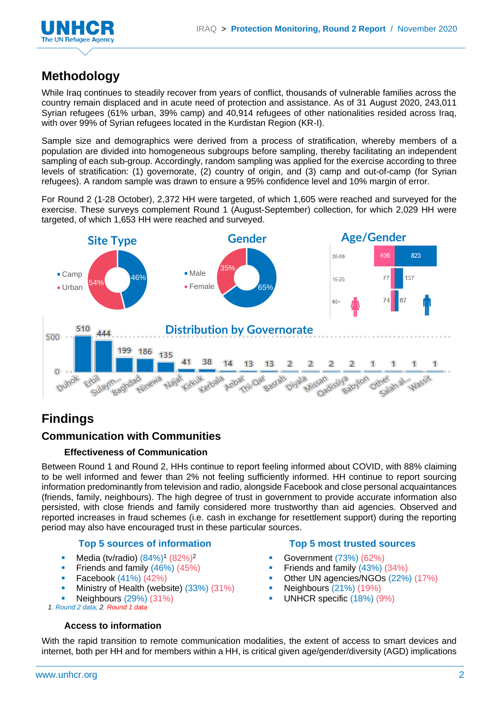

## **Methodology**

While Iraq continues to steadily recover from years of conflict, thousands of vulnerable families across the country remain displaced and in acute need of protection and assistance. As of 31 August 2020, 243,011 Syrian refugees (61% urban, 39% camp) and 40,914 refugees of other nationalities resided across Iraq, with over 99% of Syrian refugees located in the Kurdistan Region (KR-I).

Sample size and demographics were derived from a process of stratification, whereby members of a population are divided into homogeneous subgroups before sampling, thereby facilitating an independent sampling of each sub-group. Accordingly, random sampling was applied for the exercise according to three levels of stratification: (1) governorate, (2) country of origin, and (3) camp and out-of-camp (for Syrian refugees). A random sample was drawn to ensure a 95% confidence level and 10% margin of error.

For Round 2 (1-28 October), 2,372 HH were targeted, of which 1,605 were reached and surveyed for the exercise. These surveys complement Round 1 (August-September) collection, for which 2,029 HH were targeted, of which 1,653 HH were reached and surveyed.



# **Findings**

### **Communication with Communities**

### **Effectiveness of Communication**

Between Round 1 and Round 2, HHs continue to report feeling informed about COVID, with 88% claiming to be well informed and fewer than 2% not feeling sufficiently informed. HH continue to report sourcing information predominantly from television and radio, alongside Facebook and close personal acquaintances (friends, family, neighbours). The high degree of trust in government to provide accurate information also persisted, with close friends and family considered more trustworthy than aid agencies. Observed and reported increases in fraud schemes (i.e. cash in exchange for resettlement support) during the reporting period may also have encouraged trust in these particular sources.

### **Top 5 sources of information Top 5 most trusted sources**

- Media (tv/radio)  $(84\%)$ <sup>1</sup>  $(82\%)$ <sup>2</sup>
- **•** Friends and family (46%) (45%)
- **•** Facebook  $(41\%) (42\%)$
- **•** Ministry of Health (website) (33%) (31%)
- Neighbours (29%) (31%)

*1. Round 2 data; 2. Round 1 data*

### **Access to information**

- Government (73%) (62%)
- **Figure 1** Friends and family (43%) (34%)
- **Other UN agencies/NGOs (22%) (17%)**
- Neighbours (21%) (19%)
- UNHCR specific (18%) (9%)

With the rapid transition to remote communication modalities, the extent of access to smart devices and internet, both per HH and for members within a HH, is critical given age/gender/diversity (AGD) implications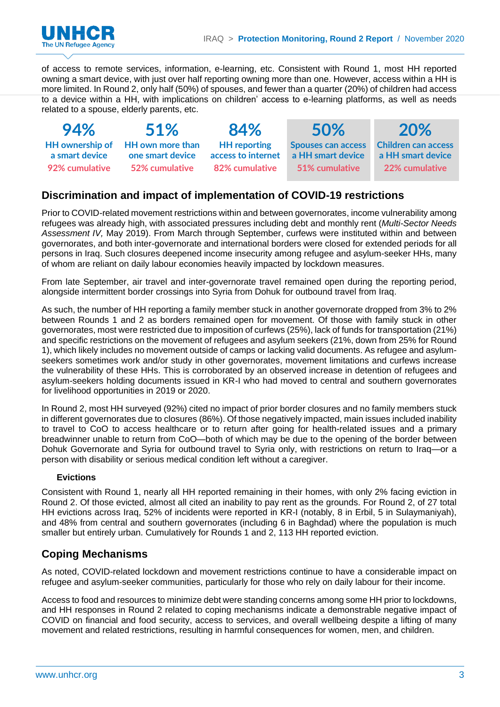

of access to remote services, information, e-learning, etc. Consistent with Round 1, most HH reported owning a smart device, with just over half reporting owning more than one. However, access within a HH is more limited. In Round 2, only half (50%) of spouses, and fewer than a quarter (20%) of children had access to a device within a HH, with implications on children' access to e-learning platforms, as well as needs related to a spouse, elderly parents, etc.

| 94%                              | 51%                                                                           | 84%                                                         | 50%                                                              | 20%                                                               |
|----------------------------------|-------------------------------------------------------------------------------|-------------------------------------------------------------|------------------------------------------------------------------|-------------------------------------------------------------------|
| a smart device<br>92% cumulative | HH ownership of HH own more than<br>one smart device<br><b>52% cumulative</b> | <b>HH</b> reporting<br>access to internet<br>82% cumulative | <b>Spouses can access</b><br>a HH smart device<br>51% cumulative | <b>Children can access</b><br>a HH smart device<br>22% cumulative |

### **Discrimination and impact of implementation of COVID-19 restrictions**

Prior to COVID-related movement restrictions within and between governorates, income vulnerability among refugees was already high, with associated pressures including debt and monthly rent (*Multi-Sector Needs Assessment IV,* May 2019). From March through September, curfews were instituted within and between governorates, and both inter-governorate and international borders were closed for extended periods for all persons in Iraq. Such closures deepened income insecurity among refugee and asylum-seeker HHs, many of whom are reliant on daily labour economies heavily impacted by lockdown measures.

From late September, air travel and inter-governorate travel remained open during the reporting period, alongside intermittent border crossings into Syria from Dohuk for outbound travel from Iraq.

As such, the number of HH reporting a family member stuck in another governorate dropped from 3% to 2% between Rounds 1 and 2 as borders remained open for movement. Of those with family stuck in other governorates, most were restricted due to imposition of curfews (25%), lack of funds for transportation (21%) and specific restrictions on the movement of refugees and asylum seekers (21%, down from 25% for Round 1), which likely includes no movement outside of camps or lacking valid documents. As refugee and asylumseekers sometimes work and/or study in other governorates, movement limitations and curfews increase the vulnerability of these HHs. This is corroborated by an observed increase in detention of refugees and asylum-seekers holding documents issued in KR-I who had moved to central and southern governorates for livelihood opportunities in 2019 or 2020.

In Round 2, most HH surveyed (92%) cited no impact of prior border closures and no family members stuck in different governorates due to closures (86%). Of those negatively impacted, main issues included inability to travel to CoO to access healthcare or to return after going for health-related issues and a primary breadwinner unable to return from CoO—both of which may be due to the opening of the border between Dohuk Governorate and Syria for outbound travel to Syria only, with restrictions on return to Iraq—or a person with disability or serious medical condition left without a caregiver.

### **Evictions**

Consistent with Round 1, nearly all HH reported remaining in their homes, with only 2% facing eviction in Round 2. Of those evicted, almost all cited an inability to pay rent as the grounds. For Round 2, of 27 total HH evictions across Iraq, 52% of incidents were reported in KR-I (notably, 8 in Erbil, 5 in Sulaymaniyah), and 48% from central and southern governorates (including 6 in Baghdad) where the population is much smaller but entirely urban. Cumulatively for Rounds 1 and 2, 113 HH reported eviction.

### **Coping Mechanisms**

As noted, COVID-related lockdown and movement restrictions continue to have a considerable impact on refugee and asylum-seeker communities, particularly for those who rely on daily labour for their income.

Access to food and resources to minimize debt were standing concerns among some HH prior to lockdowns, and HH responses in Round 2 related to coping mechanisms indicate a demonstrable negative impact of COVID on financial and food security, access to services, and overall wellbeing despite a lifting of many movement and related restrictions, resulting in harmful consequences for women, men, and children.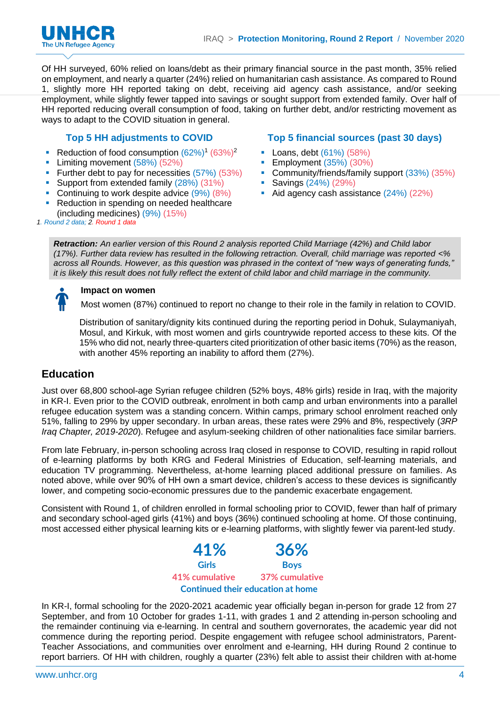

Of HH surveyed, 60% relied on loans/debt as their primary financial source in the past month, 35% relied on employment, and nearly a quarter (24%) relied on humanitarian cash assistance. As compared to Round 1, slightly more HH reported taking on debt, receiving aid agency cash assistance, and/or seeking employment, while slightly fewer tapped into savings or sought support from extended family. Over half of HH reported reducing overall consumption of food, taking on further debt, and/or restricting movement as ways to adapt to the COVID situation in general.

- **•** Reduction of food consumption  $(62%)^1 (63%)^2$
- **•** Limiting movement (58%) (52%)
- **EXECUTE:** Further debt to pay for necessities (57%) (53%)
- **Support from extended family (28%) (31%)**
- Continuing to work despite advice  $(9\%)$   $(8\%)$
- Reduction in spending on needed healthcare (including medicines) (9%) (15%)

### **Top 5 HH adjustments to COVID Top 5 financial sources (past 30 days)**

- Loans, debt (61%) (58%)
- **Employment (35%) (30%)**
- Community/friends/family support (33%) (35%)
- Savings (24%) (29%)
- Aid agency cash assistance (24%) (22%)

*1. Round 2 data; 2. Round 1 data*

*Retraction: An earlier version of this Round 2 analysis reported Child Marriage (42%) and Child labor (17%). Further data review has resulted in the following retraction. Overall, child marriage was reported <% across all Rounds. However, as this question was phrased in the context of "new ways of generating funds," it is likely this result does not fully reflect the extent of child labor and child marriage in the community.*



### **Impact on women**

Most women (87%) continued to report no change to their role in the family in relation to COVID.

Distribution of sanitary/dignity kits continued during the reporting period in Dohuk, Sulaymaniyah, Mosul, and Kirkuk, with most women and girls countrywide reported access to these kits. Of the 15% who did not, nearly three-quarters cited prioritization of other basic items (70%) as the reason, with another 45% reporting an inability to afford them (27%).

### **Education**

Just over 68,800 school-age Syrian refugee children (52% boys, 48% girls) reside in Iraq, with the majority in KR-I. Even prior to the COVID outbreak, enrolment in both camp and urban environments into a parallel refugee education system was a standing concern. Within camps, primary school enrolment reached only 51%, falling to 29% by upper secondary. In urban areas, these rates were 29% and 8%, respectively (*3RP Iraq Chapter, 2019-2020*). Refugee and asylum-seeking children of other nationalities face similar barriers.

From late February, in-person schooling across Iraq closed in response to COVID, resulting in rapid rollout of e-learning platforms by both KRG and Federal Ministries of Education, self-learning materials, and education TV programming. Nevertheless, at-home learning placed additional pressure on families. As noted above, while over 90% of HH own a smart device, children's access to these devices is significantly lower, and competing socio-economic pressures due to the pandemic exacerbate engagement.

Consistent with Round 1, of children enrolled in formal schooling prior to COVID, fewer than half of primary and secondary school-aged girls (41%) and boys (36%) continued schooling at home. Of those continuing, most accessed either physical learning kits or e-learning platforms, with slightly fewer via parent-led study.



In KR-I, formal schooling for the 2020-2021 academic year officially began in-person for grade 12 from 27 September, and from 10 October for grades 1-11, with grades 1 and 2 attending in-person schooling and the remainder continuing via e-learning. In central and southern governorates, the academic year did not commence during the reporting period. Despite engagement with refugee school administrators, Parent-Teacher Associations, and communities over enrolment and e-learning, HH during Round 2 continue to report barriers. Of HH with children, roughly a quarter (23%) felt able to assist their children with at-home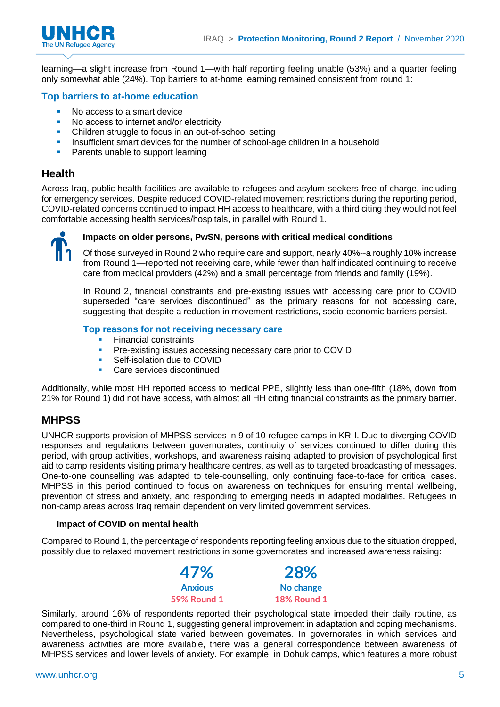



learning—a slight increase from Round 1—with half reporting feeling unable (53%) and a quarter feeling only somewhat able (24%). Top barriers to at-home learning remained consistent from round 1:

### **Top barriers to at-home education**

- No access to a smart device
- No access to internet and/or electricity
- Children struggle to focus in an out-of-school setting
- **Insufficient smart devices for the number of school-age children in a household**
- Parents unable to support learning

### **Health**

Across Iraq, public health facilities are available to refugees and asylum seekers free of charge, including for emergency services. Despite reduced COVID-related movement restrictions during the reporting period, COVID-related concerns continued to impact HH access to healthcare, with a third citing they would not feel comfortable accessing health services/hospitals, in parallel with Round 1.



### **Impacts on older persons, PwSN, persons with critical medical conditions**

Of those surveyed in Round 2 who require care and support, nearly 40%--a roughly 10% increase from Round 1—reported not receiving care, while fewer than half indicated continuing to receive care from medical providers (42%) and a small percentage from friends and family (19%).

In Round 2, financial constraints and pre-existing issues with accessing care prior to COVID superseded "care services discontinued" as the primary reasons for not accessing care, suggesting that despite a reduction in movement restrictions, socio-economic barriers persist.

### **Top reasons for not receiving necessary care**

- **Financial constraints**
- **•** Pre-existing issues accessing necessary care prior to COVID
- Self-isolation due to COVID
- Care services discontinued

Additionally, while most HH reported access to medical PPE, slightly less than one-fifth (18%, down from 21% for Round 1) did not have access, with almost all HH citing financial constraints as the primary barrier.

### **MHPSS**

UNHCR supports provision of MHPSS services in 9 of 10 refugee camps in KR-I. Due to diverging COVID responses and regulations between governorates, continuity of services continued to differ during this period, with group activities, workshops, and awareness raising adapted to provision of psychological first aid to camp residents visiting primary healthcare centres, as well as to targeted broadcasting of messages. One-to-one counselling was adapted to tele-counselling, only continuing face-to-face for critical cases. MHPSS in this period continued to focus on awareness on techniques for ensuring mental wellbeing, prevention of stress and anxiety, and responding to emerging needs in adapted modalities. Refugees in non-camp areas across Iraq remain dependent on very limited government services.

### **Impact of COVID on mental health**

Compared to Round 1, the percentage of respondents reporting feeling anxious due to the situation dropped, possibly due to relaxed movement restrictions in some governorates and increased awareness raising:



Similarly, around 16% of respondents reported their psychological state impeded their daily routine, as compared to one-third in Round 1, suggesting general improvement in adaptation and coping mechanisms. Nevertheless, psychological state varied between governates. In governorates in which services and awareness activities are more available, there was a general correspondence between awareness of MHPSS services and lower levels of anxiety. For example, in Dohuk camps, which features a more robust